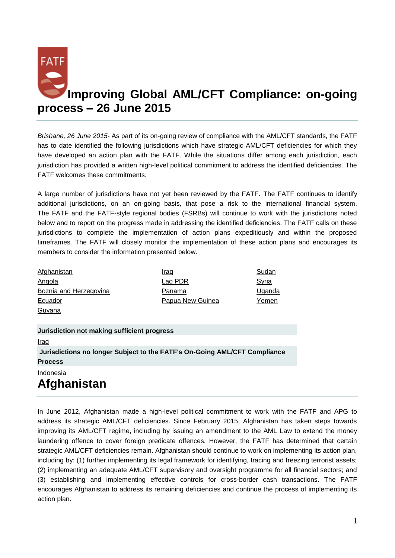

*Brisbane, 26 June 2015*- As part of its on-going review of compliance with the AML/CFT standards, the FATF has to date identified the following jurisdictions which have strategic AML/CFT deficiencies for which they have developed an action plan with the FATF. While the situations differ among each jurisdiction, each jurisdiction has provided a written high-level political commitment to address the identified deficiencies. The FATF welcomes these commitments.

A large number of jurisdictions have not yet been reviewed by the FATF. The FATF continues to identify additional jurisdictions, on an on-going basis, that pose a risk to the international financial system. The FATF and the FATF-style regional bodies (FSRBs) will continue to work with the jurisdictions noted below and to report on the progress made in addressing the identified deficiencies. The FATF calls on these jurisdictions to complete the implementation of action plans expeditiously and within the proposed timeframes. The FATF will closely monitor the implementation of these action plans and encourages its members to consider the information presented below.

| Afghanistan            | Iraq                    | Sudan  |
|------------------------|-------------------------|--------|
| Angola                 | Lao PDR                 | Syria  |
| Boznia and Herzegovina | Panama                  | Uganda |
| Ecuador                | <b>Papua New Guinea</b> | Yemen  |
| Guyana                 |                         |        |

**Jurisdiction not making sufficient progress**

[Iraq](http://www.fatf-gafi.org/topics/high-riskandnon-cooperativejurisdictions/documents/fatf-compliance-june-2015.html#Iraq)

**Jurisdictions no longer Subject to the FATF's On-Going AML/CFT Compliance Process**

[Indonesia](http://www.fatf-gafi.org/topics/high-riskandnon-cooperativejurisdictions/documents/fatf-compliance-june-2015.html#Indonesia)

# **Afghanistan**

In June 2012, Afghanistan made a high-level political commitment to work with the FATF and APG to address its strategic AML/CFT deficiencies. Since February 2015, Afghanistan has taken steps towards improving its AML/CFT regime, including by issuing an amendment to the AML Law to extend the money laundering offence to cover foreign predicate offences. However, the FATF has determined that certain strategic AML/CFT deficiencies remain. Afghanistan should continue to work on implementing its action plan, including by: (1) further implementing its legal framework for identifying, tracing and freezing terrorist assets; (2) implementing an adequate AML/CFT supervisory and oversight programme for all financial sectors; and (3) establishing and implementing effective controls for cross-border cash transactions. The FATF encourages Afghanistan to address its remaining deficiencies and continue the process of implementing its action plan.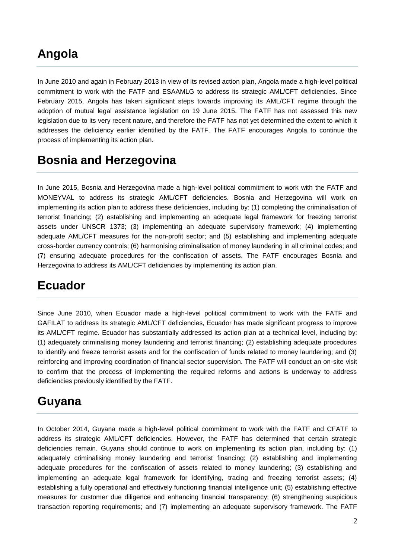#### **Angola**

In June 2010 and again in February 2013 in view of its revised action plan, Angola made a high-level political commitment to work with the FATF and ESAAMLG to address its strategic AML/CFT deficiencies. Since February 2015, Angola has taken significant steps towards improving its AML/CFT regime through the adoption of mutual legal assistance legislation on 19 June 2015. The FATF has not assessed this new legislation due to its very recent nature, and therefore the FATF has not yet determined the extent to which it addresses the deficiency earlier identified by the FATF. The FATF encourages Angola to continue the process of implementing its action plan.

## **Bosnia and Herzegovina**

In June 2015, Bosnia and Herzegovina made a high-level political commitment to work with the FATF and MONEYVAL to address its strategic AML/CFT deficiencies. Bosnia and Herzegovina will work on implementing its action plan to address these deficiencies, including by: (1) completing the criminalisation of terrorist financing; (2) establishing and implementing an adequate legal framework for freezing terrorist assets under UNSCR 1373; (3) implementing an adequate supervisory framework; (4) implementing adequate AML/CFT measures for the non-profit sector; and (5) establishing and implementing adequate cross-border currency controls; (6) harmonising criminalisation of money laundering in all criminal codes; and (7) ensuring adequate procedures for the confiscation of assets. The FATF encourages Bosnia and Herzegovina to address its AML/CFT deficiencies by implementing its action plan.

#### **Ecuador**

Since June 2010, when Ecuador made a high-level political commitment to work with the FATF and GAFILAT to address its strategic AML/CFT deficiencies, Ecuador has made significant progress to improve its AML/CFT regime. Ecuador has substantially addressed its action plan at a technical level, including by: (1) adequately criminalising money laundering and terrorist financing; (2) establishing adequate procedures to identify and freeze terrorist assets and for the confiscation of funds related to money laundering; and (3) reinforcing and improving coordination of financial sector supervision. The FATF will conduct an on-site visit to confirm that the process of implementing the required reforms and actions is underway to address deficiencies previously identified by the FATF.

#### **Guyana**

In October 2014, Guyana made a high-level political commitment to work with the FATF and CFATF to address its strategic AML/CFT deficiencies. However, the FATF has determined that certain strategic deficiencies remain. Guyana should continue to work on implementing its action plan, including by: (1) adequately criminalising money laundering and terrorist financing; (2) establishing and implementing adequate procedures for the confiscation of assets related to money laundering; (3) establishing and implementing an adequate legal framework for identifying, tracing and freezing terrorist assets; (4) establishing a fully operational and effectively functioning financial intelligence unit; (5) establishing effective measures for customer due diligence and enhancing financial transparency; (6) strengthening suspicious transaction reporting requirements; and (7) implementing an adequate supervisory framework. The FATF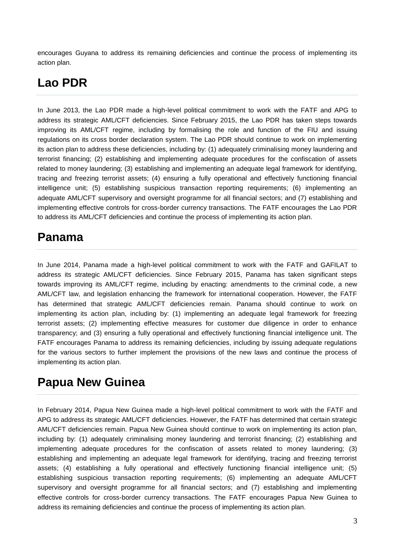encourages Guyana to address its remaining deficiencies and continue the process of implementing its action plan.

#### **Lao PDR**

In June 2013, the Lao PDR made a high-level political commitment to work with the FATF and APG to address its strategic AML/CFT deficiencies. Since February 2015, the Lao PDR has taken steps towards improving its AML/CFT regime, including by formalising the role and function of the FIU and issuing regulations on its cross border declaration system. The Lao PDR should continue to work on implementing its action plan to address these deficiencies, including by: (1) adequately criminalising money laundering and terrorist financing; (2) establishing and implementing adequate procedures for the confiscation of assets related to money laundering; (3) establishing and implementing an adequate legal framework for identifying, tracing and freezing terrorist assets; (4) ensuring a fully operational and effectively functioning financial intelligence unit; (5) establishing suspicious transaction reporting requirements; (6) implementing an adequate AML/CFT supervisory and oversight programme for all financial sectors; and (7) establishing and implementing effective controls for cross-border currency transactions. The FATF encourages the Lao PDR to address its AML/CFT deficiencies and continue the process of implementing its action plan.

#### **Panama**

In June 2014, Panama made a high-level political commitment to work with the FATF and GAFILAT to address its strategic AML/CFT deficiencies. Since February 2015, Panama has taken significant steps towards improving its AML/CFT regime, including by enacting: amendments to the criminal code, a new AML/CFT law, and legislation enhancing the framework for international cooperation. However, the FATF has determined that strategic AML/CFT deficiencies remain. Panama should continue to work on implementing its action plan, including by: (1) implementing an adequate legal framework for freezing terrorist assets; (2) implementing effective measures for customer due diligence in order to enhance transparency; and (3) ensuring a fully operational and effectively functioning financial intelligence unit. The FATF encourages Panama to address its remaining deficiencies, including by issuing adequate regulations for the various sectors to further implement the provisions of the new laws and continue the process of implementing its action plan.

#### **Papua New Guinea**

In February 2014, Papua New Guinea made a high-level political commitment to work with the FATF and APG to address its strategic AML/CFT deficiencies. However, the FATF has determined that certain strategic AML/CFT deficiencies remain. Papua New Guinea should continue to work on implementing its action plan, including by: (1) adequately criminalising money laundering and terrorist financing; (2) establishing and implementing adequate procedures for the confiscation of assets related to money laundering; (3) establishing and implementing an adequate legal framework for identifying, tracing and freezing terrorist assets; (4) establishing a fully operational and effectively functioning financial intelligence unit; (5) establishing suspicious transaction reporting requirements; (6) implementing an adequate AML/CFT supervisory and oversight programme for all financial sectors; and (7) establishing and implementing effective controls for cross-border currency transactions. The FATF encourages Papua New Guinea to address its remaining deficiencies and continue the process of implementing its action plan.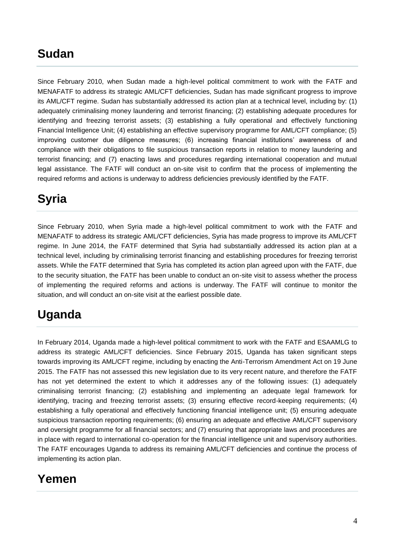#### **Sudan**

Since February 2010, when Sudan made a high-level political commitment to work with the FATF and MENAFATF to address its strategic AML/CFT deficiencies, Sudan has made significant progress to improve its AML/CFT regime. Sudan has substantially addressed its action plan at a technical level, including by: (1) adequately criminalising money laundering and terrorist financing; (2) establishing adequate procedures for identifying and freezing terrorist assets; (3) establishing a fully operational and effectively functioning Financial Intelligence Unit; (4) establishing an effective supervisory programme for AML/CFT compliance; (5) improving customer due diligence measures; (6) increasing financial institutions' awareness of and compliance with their obligations to file suspicious transaction reports in relation to money laundering and terrorist financing; and (7) enacting laws and procedures regarding international cooperation and mutual legal assistance. The FATF will conduct an on-site visit to confirm that the process of implementing the required reforms and actions is underway to address deficiencies previously identified by the FATF.

# **Syria**

Since February 2010, when Syria made a high-level political commitment to work with the FATF and MENAFATF to address its strategic AML/CFT deficiencies, Syria has made progress to improve its AML/CFT regime. In June 2014, the FATF determined that Syria had substantially addressed its action plan at a technical level, including by criminalising terrorist financing and establishing procedures for freezing terrorist assets. While the FATF determined that Syria has completed its action plan agreed upon with the FATF, due to the security situation, the FATF has been unable to conduct an on-site visit to assess whether the process of implementing the required reforms and actions is underway. The FATF will continue to monitor the situation, and will conduct an on-site visit at the earliest possible date.

# **Uganda**

In February 2014, Uganda made a high-level political commitment to work with the FATF and ESAAMLG to address its strategic AML/CFT deficiencies. Since February 2015, Uganda has taken significant steps towards improving its AML/CFT regime, including by enacting the Anti-Terrorism Amendment Act on 19 June 2015. The FATF has not assessed this new legislation due to its very recent nature, and therefore the FATF has not yet determined the extent to which it addresses any of the following issues: (1) adequately criminalising terrorist financing; (2) establishing and implementing an adequate legal framework for identifying, tracing and freezing terrorist assets; (3) ensuring effective record-keeping requirements; (4) establishing a fully operational and effectively functioning financial intelligence unit; (5) ensuring adequate suspicious transaction reporting requirements; (6) ensuring an adequate and effective AML/CFT supervisory and oversight programme for all financial sectors; and (7) ensuring that appropriate laws and procedures are in place with regard to international co-operation for the financial intelligence unit and supervisory authorities. The FATF encourages Uganda to address its remaining AML/CFT deficiencies and continue the process of implementing its action plan.

#### **Yemen**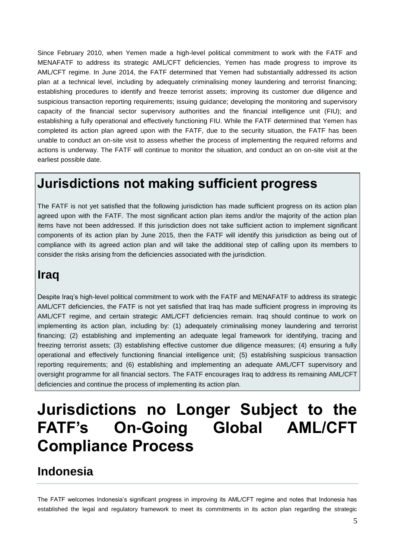Since February 2010, when Yemen made a high-level political commitment to work with the FATF and MENAFATF to address its strategic AML/CFT deficiencies, Yemen has made progress to improve its AML/CFT regime. In June 2014, the FATF determined that Yemen had substantially addressed its action plan at a technical level, including by adequately criminalising money laundering and terrorist financing; establishing procedures to identify and freeze terrorist assets; improving its customer due diligence and suspicious transaction reporting requirements; issuing guidance; developing the monitoring and supervisory capacity of the financial sector supervisory authorities and the financial intelligence unit (FIU); and establishing a fully operational and effectively functioning FIU. While the FATF determined that Yemen has completed its action plan agreed upon with the FATF, due to the security situation, the FATF has been unable to conduct an on-site visit to assess whether the process of implementing the required reforms and actions is underway. The FATF will continue to monitor the situation, and conduct an on on-site visit at the earliest possible date.

## **Jurisdictions not making sufficient progress**

The FATF is not yet satisfied that the following jurisdiction has made sufficient progress on its action plan agreed upon with the FATF. The most significant action plan items and/or the majority of the action plan items have not been addressed. If this jurisdiction does not take sufficient action to implement significant components of its action plan by June 2015, then the FATF will identify this jurisdiction as being out of compliance with its agreed action plan and will take the additional step of calling upon its members to consider the risks arising from the deficiencies associated with the jurisdiction.

#### **Iraq**

Despite Iraq's high-level political commitment to work with the FATF and MENAFATF to address its strategic AML/CFT deficiencies, the FATF is not yet satisfied that Iraq has made sufficient progress in improving its AML/CFT regime, and certain strategic AML/CFT deficiencies remain. Iraq should continue to work on implementing its action plan, including by: (1) adequately criminalising money laundering and terrorist financing; (2) establishing and implementing an adequate legal framework for identifying, tracing and freezing terrorist assets; (3) establishing effective customer due diligence measures; (4) ensuring a fully operational and effectively functioning financial intelligence unit; (5) establishing suspicious transaction reporting requirements; and (6) establishing and implementing an adequate AML/CFT supervisory and oversight programme for all financial sectors. The FATF encourages Iraq to address its remaining AML/CFT deficiencies and continue the process of implementing its action plan.

# **Jurisdictions no Longer Subject to the FATF's On-Going Global AML/CFT Compliance Process**

#### **Indonesia**

The FATF welcomes Indonesia's significant progress in improving its AML/CFT regime and notes that Indonesia has established the legal and regulatory framework to meet its commitments in its action plan regarding the strategic